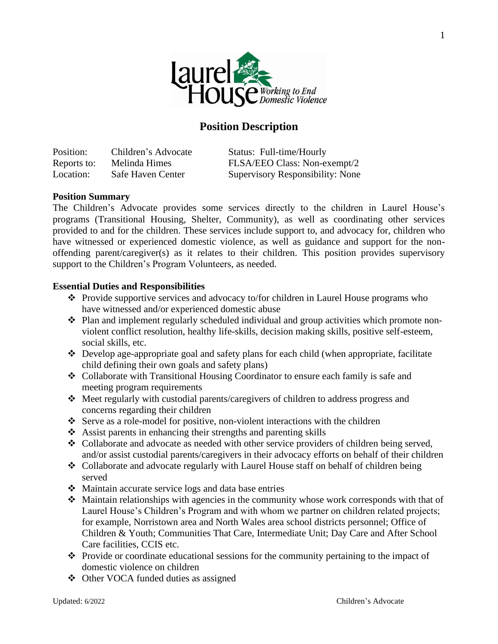

# **Position Description**

Position: Children's Advocate Status: Full-time/Hourly Reports to: Melinda Himes FLSA/EEO Class: Non-exempt/2 Location: Safe Haven Center Supervisory Responsibility: None

#### **Position Summary**

The Children's Advocate provides some services directly to the children in Laurel House's programs (Transitional Housing, Shelter, Community), as well as coordinating other services provided to and for the children. These services include support to, and advocacy for, children who have witnessed or experienced domestic violence, as well as guidance and support for the nonoffending parent/caregiver(s) as it relates to their children. This position provides supervisory support to the Children's Program Volunteers, as needed.

#### **Essential Duties and Responsibilities**

- ❖ Provide supportive services and advocacy to/for children in Laurel House programs who have witnessed and/or experienced domestic abuse
- ❖ Plan and implement regularly scheduled individual and group activities which promote nonviolent conflict resolution, healthy life-skills, decision making skills, positive self-esteem, social skills, etc.
- ❖ Develop age-appropriate goal and safety plans for each child (when appropriate, facilitate child defining their own goals and safety plans)
- ❖ Collaborate with Transitional Housing Coordinator to ensure each family is safe and meeting program requirements
- ❖ Meet regularly with custodial parents/caregivers of children to address progress and concerns regarding their children
- ❖ Serve as a role-model for positive, non-violent interactions with the children
- ❖ Assist parents in enhancing their strengths and parenting skills
- ❖ Collaborate and advocate as needed with other service providers of children being served, and/or assist custodial parents/caregivers in their advocacy efforts on behalf of their children
- ❖ Collaborate and advocate regularly with Laurel House staff on behalf of children being served
- ❖ Maintain accurate service logs and data base entries
- ❖ Maintain relationships with agencies in the community whose work corresponds with that of Laurel House's Children's Program and with whom we partner on children related projects; for example, Norristown area and North Wales area school districts personnel; Office of Children & Youth; Communities That Care, Intermediate Unit; Day Care and After School Care facilities, CCIS etc.
- ❖ Provide or coordinate educational sessions for the community pertaining to the impact of domestic violence on children
- ❖ Other VOCA funded duties as assigned

1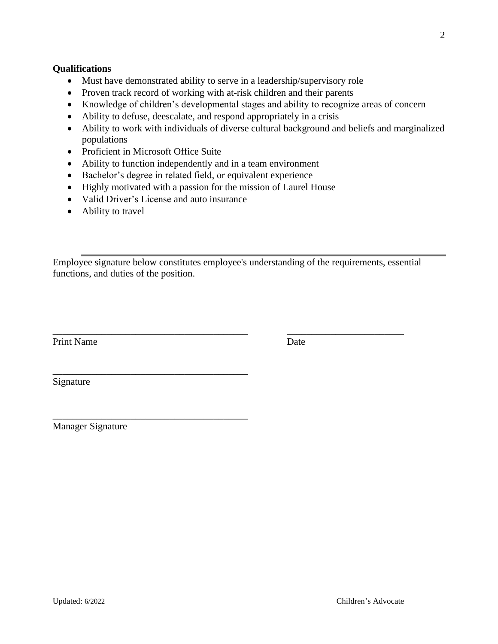### **Qualifications**

- Must have demonstrated ability to serve in a leadership/supervisory role
- Proven track record of working with at-risk children and their parents
- Knowledge of children's developmental stages and ability to recognize areas of concern
- Ability to defuse, deescalate, and respond appropriately in a crisis
- Ability to work with individuals of diverse cultural background and beliefs and marginalized populations
- Proficient in Microsoft Office Suite
- Ability to function independently and in a team environment
- Bachelor's degree in related field, or equivalent experience
- Highly motivated with a passion for the mission of Laurel House
- Valid Driver's License and auto insurance

\_\_\_\_\_\_\_\_\_\_\_\_\_\_\_\_\_\_\_\_\_\_\_\_\_\_\_\_\_\_\_\_\_\_\_\_\_\_\_\_

\_\_\_\_\_\_\_\_\_\_\_\_\_\_\_\_\_\_\_\_\_\_\_\_\_\_\_\_\_\_\_\_\_\_\_\_\_\_\_\_

• Ability to travel

Employee signature below constitutes employee's understanding of the requirements, essential functions, and duties of the position.

\_\_\_\_\_\_\_\_\_\_\_\_\_\_\_\_\_\_\_\_\_\_\_\_\_\_\_\_\_\_\_\_\_\_\_\_\_\_\_\_ \_\_\_\_\_\_\_\_\_\_\_\_\_\_\_\_\_\_\_\_\_\_\_\_

Print Name Date

Signature

Manager Signature